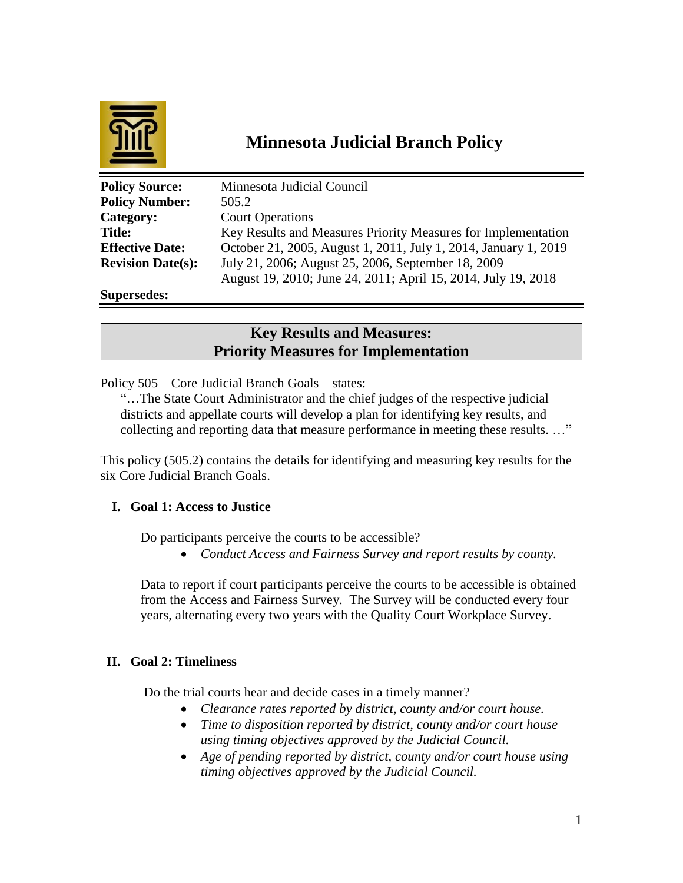

# **Minnesota Judicial Branch Policy**

| <b>Policy Source:</b>    | Minnesota Judicial Council                                      |
|--------------------------|-----------------------------------------------------------------|
| <b>Policy Number:</b>    | 505.2                                                           |
| Category:                | <b>Court Operations</b>                                         |
| <b>Title:</b>            | Key Results and Measures Priority Measures for Implementation   |
| <b>Effective Date:</b>   | October 21, 2005, August 1, 2011, July 1, 2014, January 1, 2019 |
| <b>Revision Date(s):</b> | July 21, 2006; August 25, 2006, September 18, 2009              |
|                          | August 19, 2010; June 24, 2011; April 15, 2014, July 19, 2018   |
| <b>Supersedes:</b>       |                                                                 |

# **Key Results and Measures: Priority Measures for Implementation**

Policy 505 – Core Judicial Branch Goals – states:

"…The State Court Administrator and the chief judges of the respective judicial districts and appellate courts will develop a plan for identifying key results, and collecting and reporting data that measure performance in meeting these results. …"

This policy (505.2) contains the details for identifying and measuring key results for the six Core Judicial Branch Goals.

# **I. Goal 1: Access to Justice**

Do participants perceive the courts to be accessible?

*Conduct Access and Fairness Survey and report results by county.*

Data to report if court participants perceive the courts to be accessible is obtained from the Access and Fairness Survey. The Survey will be conducted every four years, alternating every two years with the Quality Court Workplace Survey.

# **II. Goal 2: Timeliness**

Do the trial courts hear and decide cases in a timely manner?

- *Clearance rates reported by district, county and/or court house.*
- *Time to disposition reported by district, county and/or court house using timing objectives approved by the Judicial Council.*
- *Age of pending reported by district, county and/or court house using timing objectives approved by the Judicial Council.*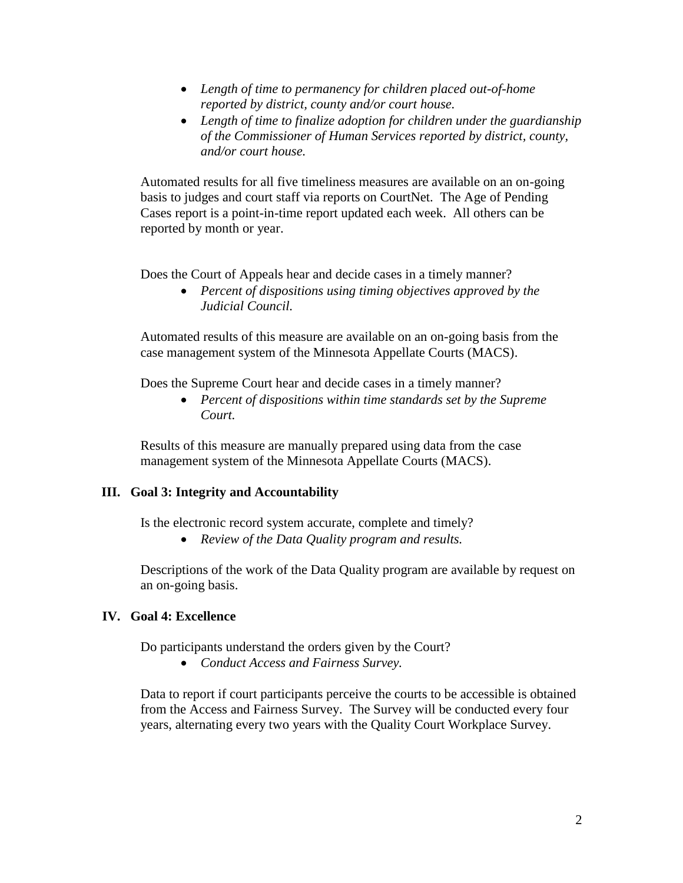- *Length of time to permanency for children placed out-of-home reported by district, county and/or court house.*
- *Length of time to finalize adoption for children under the guardianship of the Commissioner of Human Services reported by district, county, and/or court house.*

Automated results for all five timeliness measures are available on an on-going basis to judges and court staff via reports on CourtNet. The Age of Pending Cases report is a point-in-time report updated each week. All others can be reported by month or year.

Does the Court of Appeals hear and decide cases in a timely manner?

 *Percent of dispositions using timing objectives approved by the Judicial Council.*

Automated results of this measure are available on an on-going basis from the case management system of the Minnesota Appellate Courts (MACS).

Does the Supreme Court hear and decide cases in a timely manner?

 *Percent of dispositions within time standards set by the Supreme Court.*

Results of this measure are manually prepared using data from the case management system of the Minnesota Appellate Courts (MACS).

#### **III. Goal 3: Integrity and Accountability**

Is the electronic record system accurate, complete and timely?

*Review of the Data Quality program and results.*

Descriptions of the work of the Data Quality program are available by request on an on-going basis.

#### **IV. Goal 4: Excellence**

Do participants understand the orders given by the Court?

*Conduct Access and Fairness Survey.*

Data to report if court participants perceive the courts to be accessible is obtained from the Access and Fairness Survey. The Survey will be conducted every four years, alternating every two years with the Quality Court Workplace Survey.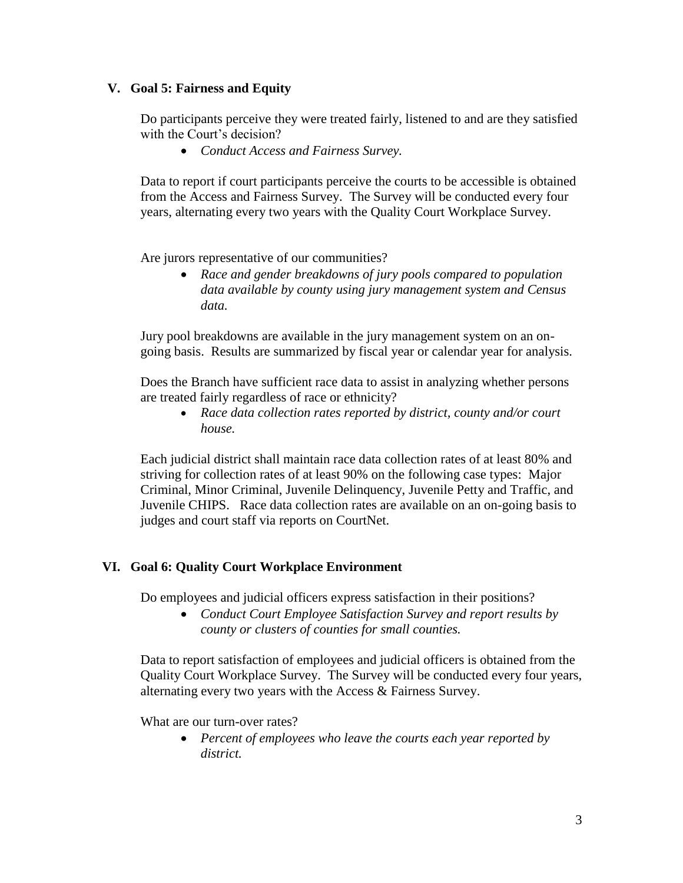#### **V. Goal 5: Fairness and Equity**

Do participants perceive they were treated fairly, listened to and are they satisfied with the Court's decision?

*Conduct Access and Fairness Survey.*

Data to report if court participants perceive the courts to be accessible is obtained from the Access and Fairness Survey. The Survey will be conducted every four years, alternating every two years with the Quality Court Workplace Survey.

Are jurors representative of our communities?

 *Race and gender breakdowns of jury pools compared to population data available by county using jury management system and Census data.*

Jury pool breakdowns are available in the jury management system on an ongoing basis. Results are summarized by fiscal year or calendar year for analysis.

Does the Branch have sufficient race data to assist in analyzing whether persons are treated fairly regardless of race or ethnicity?

 *Race data collection rates reported by district, county and/or court house.*

Each judicial district shall maintain race data collection rates of at least 80% and striving for collection rates of at least 90% on the following case types: Major Criminal, Minor Criminal, Juvenile Delinquency, Juvenile Petty and Traffic, and Juvenile CHIPS. Race data collection rates are available on an on-going basis to judges and court staff via reports on CourtNet.

# **VI. Goal 6: Quality Court Workplace Environment**

Do employees and judicial officers express satisfaction in their positions?

 *Conduct Court Employee Satisfaction Survey and report results by county or clusters of counties for small counties.*

Data to report satisfaction of employees and judicial officers is obtained from the Quality Court Workplace Survey. The Survey will be conducted every four years, alternating every two years with the Access & Fairness Survey.

What are our turn-over rates?

 *Percent of employees who leave the courts each year reported by district.*